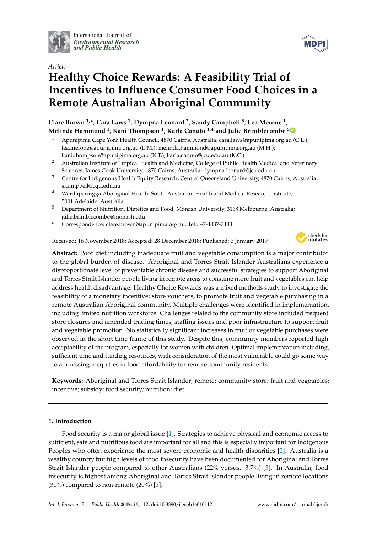

International Journal of *[Environmental Research](http://www.mdpi.com/journal/ijerph) and Public Health*



# *Article* **Healthy Choice Rewards: A Feasibility Trial of Incentives to Influence Consumer Food Choices in a Remote Australian Aboriginal Community**

# **Clare Brown 1,\*, Cara Laws <sup>1</sup> , Dympna Leonard <sup>2</sup> , Sandy Campbell <sup>3</sup> , Lea Merone <sup>1</sup> , Melinda Hammond <sup>1</sup> , Kani Thompson <sup>1</sup> , Karla Canuto 1,4 and Julie Brimblecombe [5](https://orcid.org/0000-0002-1977-276X)**

- <sup>1</sup> Apunipima Cape York Health Council, 4870 Cairns, Australia; cara.laws@apunipima.org.au (C.L.); lea.merone@apunipima.org.au (L.M.); melinda.hammond@apunipima.org.au (M.H.); kani.thompson@apunipima.org.au (K.T.); karla.canuto@jcu.edu.au (K.C.)
- <sup>2</sup> Australian Institute of Tropical Health and Medicine, College of Public Health Medical and Veterinary Sciences, James Cook University, 4870 Cairns, Australia; dympna.leonard@jcu.edu.au
- <sup>3</sup> Centre for Indigenous Health Equity Research, Central Queensland University, 4870 Cairns, Australia; s.campbell@cqu.edu.au
- <sup>4</sup> Wardliparingga Aboriginal Health, South Australian Health and Medical Research Institute, 5001 Adelaide, Australia
- <sup>5</sup> Department of Nutrition, Dietetics and Food, Monash University, 3168 Melbourne, Australia; julie.brimblecombe@monash.edu
- **\*** Correspondence: clare.brown@apunipima.org.au; Tel.: +7-4037-7483

Received: 16 November 2018; Accepted: 28 December 2018; Published: 3 January 2019



**Abstract:** Poor diet including inadequate fruit and vegetable consumption is a major contributor to the global burden of disease. Aboriginal and Torres Strait Islander Australians experience a disproportionate level of preventable chronic disease and successful strategies to support Aboriginal and Torres Strait Islander people living in remote areas to consume more fruit and vegetables can help address health disadvantage. Healthy Choice Rewards was a mixed methods study to investigate the feasibility of a monetary incentive: store vouchers, to promote fruit and vegetable purchasing in a remote Australian Aboriginal community. Multiple challenges were identified in implementation, including limited nutrition workforce. Challenges related to the community store included frequent store closures and amended trading times, staffing issues and poor infrastructure to support fruit and vegetable promotion. No statistically significant increases in fruit or vegetable purchases were observed in the short time frame of this study. Despite this, community members reported high acceptability of the program, especially for women with children. Optimal implementation including, sufficient time and funding resources, with consideration of the most vulnerable could go some way to addressing inequities in food affordability for remote community residents.

**Keywords:** Aboriginal and Torres Strait Islander; remote; community store; fruit and vegetables; incentive; subsidy; food security; nutrition; diet

# **1. Introduction**

Food security is a major global issue [\[1\]](#page-8-0). Strategies to achieve physical and economic access to sufficient, safe and nutritious food are important for all and this is especially important for Indigenous Peoples who often experience the most severe economic and health disparities [\[2\]](#page-8-1). Australia is a wealthy country but high levels of food insecurity have been documented for Aboriginal and Torres Strait Islander people compared to other Australians (22% versus. 3.7%) [\[3\]](#page-8-2). In Australia, food insecurity is highest among Aboriginal and Torres Strait Islander people living in remote locations  $(31\%)$  compared to non-remote  $(20\%)$  [\[3\]](#page-8-2).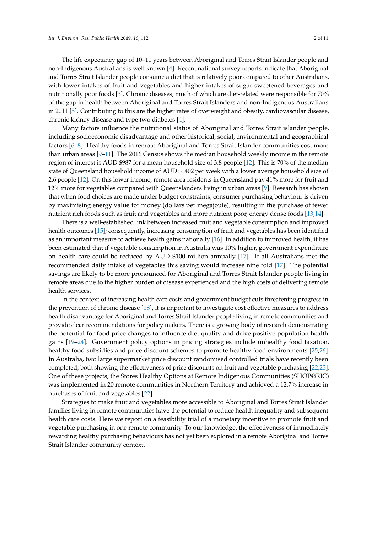The life expectancy gap of 10–11 years between Aboriginal and Torres Strait Islander people and non-Indigenous Australians is well known [\[4\]](#page-8-3). Recent national survey reports indicate that Aboriginal and Torres Strait Islander people consume a diet that is relatively poor compared to other Australians, with lower intakes of fruit and vegetables and higher intakes of sugar sweetened beverages and nutritionally poor foods [\[3\]](#page-8-2). Chronic diseases, much of which are diet-related were responsible for 70% of the gap in health between Aboriginal and Torres Strait Islanders and non-Indigenous Australians in 2011 [\[5\]](#page-8-4). Contributing to this are the higher rates of overweight and obesity, cardiovascular disease, chronic kidney disease and type two diabetes [\[4\]](#page-8-3).

Many factors influence the nutritional status of Aboriginal and Torres Strait islander people, including socioeconomic disadvantage and other historical, social, environmental and geographical factors [\[6](#page-8-5)[–8\]](#page-8-6). Healthy foods in remote Aboriginal and Torres Strait Islander communities cost more than urban areas [\[9–](#page-8-7)[11\]](#page-8-8). The 2016 Census shows the median household weekly income in the remote region of interest is AUD \$987 for a mean household size of 3.8 people [\[12\]](#page-8-9). This is 70% of the median state of Queensland household income of AUD \$1402 per week with a lower average household size of 2.6 people [\[12\]](#page-8-9). On this lower income, remote area residents in Queensland pay 41% more for fruit and 12% more for vegetables compared with Queenslanders living in urban areas [\[9\]](#page-8-7). Research has shown that when food choices are made under budget constraints, consumer purchasing behaviour is driven by maximising energy value for money (dollars per megajoule), resulting in the purchase of fewer nutrient rich foods such as fruit and vegetables and more nutrient poor, energy dense foods [\[13](#page-8-10)[,14\]](#page-9-0).

There is a well-established link between increased fruit and vegetable consumption and improved health outcomes [\[15\]](#page-9-1); consequently, increasing consumption of fruit and vegetables has been identified as an important measure to achieve health gains nationally [\[16\]](#page-9-2). In addition to improved health, it has been estimated that if vegetable consumption in Australia was 10% higher, government expenditure on health care could be reduced by AUD \$100 million annually [\[17\]](#page-9-3). If all Australians met the recommended daily intake of vegetables this saving would increase nine fold [\[17\]](#page-9-3). The potential savings are likely to be more pronounced for Aboriginal and Torres Strait Islander people living in remote areas due to the higher burden of disease experienced and the high costs of delivering remote health services.

In the context of increasing health care costs and government budget cuts threatening progress in the prevention of chronic disease [\[18\]](#page-9-4), it is important to investigate cost effective measures to address health disadvantage for Aboriginal and Torres Strait Islander people living in remote communities and provide clear recommendations for policy makers. There is a growing body of research demonstrating the potential for food price changes to influence diet quality and drive positive population health gains [\[19–](#page-9-5)[24\]](#page-9-6). Government policy options in pricing strategies include unhealthy food taxation, healthy food subsidies and price discount schemes to promote healthy food environments [\[25,](#page-9-7)[26\]](#page-9-8). In Australia, two large supermarket price discount randomised controlled trials have recently been completed, both showing the effectiveness of price discounts on fruit and vegetable purchasing [\[22](#page-9-9)[,23\]](#page-9-10). One of these projects, the Stores Healthy Options at Remote Indigenous Communities (SHOP@RIC) was implemented in 20 remote communities in Northern Territory and achieved a 12.7% increase in purchases of fruit and vegetables [\[22\]](#page-9-9).

Strategies to make fruit and vegetables more accessible to Aboriginal and Torres Strait Islander families living in remote communities have the potential to reduce health inequality and subsequent health care costs. Here we report on a feasibility trial of a monetary incentive to promote fruit and vegetable purchasing in one remote community. To our knowledge, the effectiveness of immediately rewarding healthy purchasing behaviours has not yet been explored in a remote Aboriginal and Torres Strait Islander community context.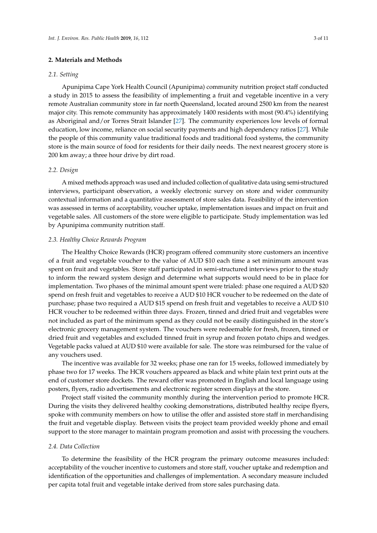# **2. Materials and Methods**

# *2.1. Setting*

Apunipima Cape York Health Council (Apunipima) community nutrition project staff conducted a study in 2015 to assess the feasibility of implementing a fruit and vegetable incentive in a very remote Australian community store in far north Queensland, located around 2500 km from the nearest major city. This remote community has approximately 1400 residents with most (90.4%) identifying as Aboriginal and/or Torres Strait Islander [\[27\]](#page-9-11). The community experiences low levels of formal education, low income, reliance on social security payments and high dependency ratios [\[27\]](#page-9-11). While the people of this community value traditional foods and traditional food systems, the community store is the main source of food for residents for their daily needs. The next nearest grocery store is 200 km away; a three hour drive by dirt road.

# *2.2. Design*

A mixed methods approach was used and included collection of qualitative data using semi-structured interviews, participant observation, a weekly electronic survey on store and wider community contextual information and a quantitative assessment of store sales data. Feasibility of the intervention was assessed in terms of acceptability, voucher uptake, implementation issues and impact on fruit and vegetable sales. All customers of the store were eligible to participate. Study implementation was led by Apunipima community nutrition staff.

## *2.3. Healthy Choice Rewards Program*

The Healthy Choice Rewards (HCR) program offered community store customers an incentive of a fruit and vegetable voucher to the value of AUD \$10 each time a set minimum amount was spent on fruit and vegetables. Store staff participated in semi-structured interviews prior to the study to inform the reward system design and determine what supports would need to be in place for implementation. Two phases of the minimal amount spent were trialed: phase one required a AUD \$20 spend on fresh fruit and vegetables to receive a AUD \$10 HCR voucher to be redeemed on the date of purchase; phase two required a AUD \$15 spend on fresh fruit and vegetables to receive a AUD \$10 HCR voucher to be redeemed within three days. Frozen, tinned and dried fruit and vegetables were not included as part of the minimum spend as they could not be easily distinguished in the store's electronic grocery management system. The vouchers were redeemable for fresh, frozen, tinned or dried fruit and vegetables and excluded tinned fruit in syrup and frozen potato chips and wedges. Vegetable packs valued at AUD \$10 were available for sale. The store was reimbursed for the value of any vouchers used.

The incentive was available for 32 weeks; phase one ran for 15 weeks, followed immediately by phase two for 17 weeks. The HCR vouchers appeared as black and white plain text print outs at the end of customer store dockets. The reward offer was promoted in English and local language using posters, flyers, radio advertisements and electronic register screen displays at the store.

Project staff visited the community monthly during the intervention period to promote HCR. During the visits they delivered healthy cooking demonstrations, distributed healthy recipe flyers, spoke with community members on how to utilise the offer and assisted store staff in merchandising the fruit and vegetable display. Between visits the project team provided weekly phone and email support to the store manager to maintain program promotion and assist with processing the vouchers.

# *2.4. Data Collection*

To determine the feasibility of the HCR program the primary outcome measures included: acceptability of the voucher incentive to customers and store staff, voucher uptake and redemption and identification of the opportunities and challenges of implementation. A secondary measure included per capita total fruit and vegetable intake derived from store sales purchasing data.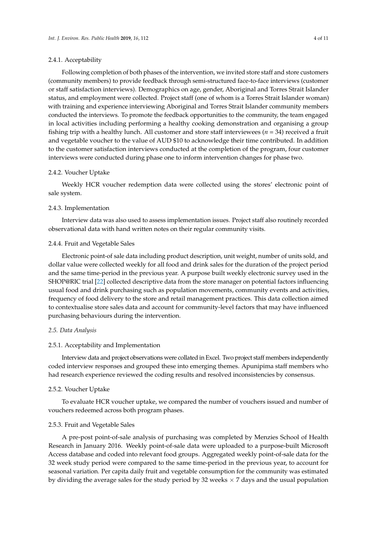#### 2.4.1. Acceptability

Following completion of both phases of the intervention, we invited store staff and store customers (community members) to provide feedback through semi-structured face-to-face interviews (customer or staff satisfaction interviews). Demographics on age, gender, Aboriginal and Torres Strait Islander status, and employment were collected. Project staff (one of whom is a Torres Strait Islander woman) with training and experience interviewing Aboriginal and Torres Strait Islander community members conducted the interviews. To promote the feedback opportunities to the community, the team engaged in local activities including performing a healthy cooking demonstration and organising a group fishing trip with a healthy lunch. All customer and store staff interviewees ( $n = 34$ ) received a fruit and vegetable voucher to the value of AUD \$10 to acknowledge their time contributed. In addition to the customer satisfaction interviews conducted at the completion of the program, four customer interviews were conducted during phase one to inform intervention changes for phase two.

# 2.4.2. Voucher Uptake

Weekly HCR voucher redemption data were collected using the stores' electronic point of sale system.

#### 2.4.3. Implementation

Interview data was also used to assess implementation issues. Project staff also routinely recorded observational data with hand written notes on their regular community visits.

#### 2.4.4. Fruit and Vegetable Sales

Electronic point-of sale data including product description, unit weight, number of units sold, and dollar value were collected weekly for all food and drink sales for the duration of the project period and the same time-period in the previous year. A purpose built weekly electronic survey used in the SHOP@RIC trial [\[22\]](#page-9-9) collected descriptive data from the store manager on potential factors influencing usual food and drink purchasing such as population movements, community events and activities, frequency of food delivery to the store and retail management practices. This data collection aimed to contextualise store sales data and account for community-level factors that may have influenced purchasing behaviours during the intervention.

#### *2.5. Data Analysis*

#### 2.5.1. Acceptability and Implementation

Interview data and project observations were collated in Excel. Two project staff members independently coded interview responses and grouped these into emerging themes. Apunipima staff members who had research experience reviewed the coding results and resolved inconsistencies by consensus.

#### 2.5.2. Voucher Uptake

To evaluate HCR voucher uptake, we compared the number of vouchers issued and number of vouchers redeemed across both program phases.

# 2.5.3. Fruit and Vegetable Sales

A pre-post point-of-sale analysis of purchasing was completed by Menzies School of Health Research in January 2016. Weekly point-of-sale data were uploaded to a purpose-built Microsoft Access database and coded into relevant food groups. Aggregated weekly point-of-sale data for the 32 week study period were compared to the same time-period in the previous year, to account for seasonal variation. Per capita daily fruit and vegetable consumption for the community was estimated by dividing the average sales for the study period by 32 weeks  $\times$  7 days and the usual population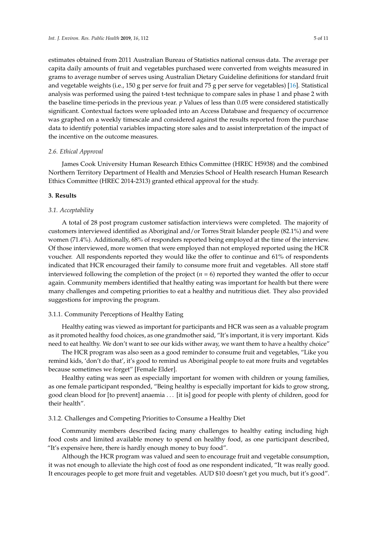estimates obtained from 2011 Australian Bureau of Statistics national census data. The average per capita daily amounts of fruit and vegetables purchased were converted from weights measured in grams to average number of serves using Australian Dietary Guideline definitions for standard fruit and vegetable weights (i.e., 150 g per serve for fruit and 75 g per serve for vegetables) [\[16\]](#page-9-2). Statistical analysis was performed using the paired t-test technique to compare sales in phase 1 and phase 2 with the baseline time-periods in the previous year. *p* Values of less than 0.05 were considered statistically significant. Contextual factors were uploaded into an Access Database and frequency of occurrence was graphed on a weekly timescale and considered against the results reported from the purchase data to identify potential variables impacting store sales and to assist interpretation of the impact of the incentive on the outcome measures.

# *2.6. Ethical Approval*

James Cook University Human Research Ethics Committee (HREC H5938) and the combined Northern Territory Department of Health and Menzies School of Health research Human Research Ethics Committee (HREC 2014-2313) granted ethical approval for the study.

#### **3. Results**

# *3.1. Acceptability*

A total of 28 post program customer satisfaction interviews were completed. The majority of customers interviewed identified as Aboriginal and/or Torres Strait Islander people (82.1%) and were women (71.4%). Additionally, 68% of responders reported being employed at the time of the interview. Of those interviewed, more women that were employed than not employed reported using the HCR voucher. All respondents reported they would like the offer to continue and 61% of respondents indicated that HCR encouraged their family to consume more fruit and vegetables. All store staff interviewed following the completion of the project  $(n = 6)$  reported they wanted the offer to occur again. Community members identified that healthy eating was important for health but there were many challenges and competing priorities to eat a healthy and nutritious diet. They also provided suggestions for improving the program.

# 3.1.1. Community Perceptions of Healthy Eating

Healthy eating was viewed as important for participants and HCR was seen as a valuable program as it promoted healthy food choices, as one grandmother said, "It's important, it is very important. Kids need to eat healthy. We don't want to see our kids wither away, we want them to have a healthy choice"

The HCR program was also seen as a good reminder to consume fruit and vegetables, "Like you remind kids, 'don't do that', it's good to remind us Aboriginal people to eat more fruits and vegetables because sometimes we forget" [Female Elder].

Healthy eating was seen as especially important for women with children or young families, as one female participant responded, "Being healthy is especially important for kids to grow strong, good clean blood for [to prevent] anaemia . . . [it is] good for people with plenty of children, good for their health".

# 3.1.2. Challenges and Competing Priorities to Consume a Healthy Diet

Community members described facing many challenges to healthy eating including high food costs and limited available money to spend on healthy food, as one participant described, "It's expensive here, there is hardly enough money to buy food".

Although the HCR program was valued and seen to encourage fruit and vegetable consumption, it was not enough to alleviate the high cost of food as one respondent indicated, "It was really good. It encourages people to get more fruit and vegetables. AUD \$10 doesn't get you much, but it's good".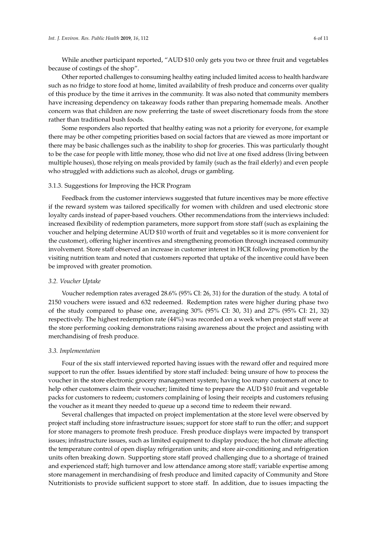While another participant reported, "AUD \$10 only gets you two or three fruit and vegetables because of costings of the shop".

Other reported challenges to consuming healthy eating included limited access to health hardware such as no fridge to store food at home, limited availability of fresh produce and concerns over quality of this produce by the time it arrives in the community. It was also noted that community members have increasing dependency on takeaway foods rather than preparing homemade meals. Another concern was that children are now preferring the taste of sweet discretionary foods from the store rather than traditional bush foods.

Some responders also reported that healthy eating was not a priority for everyone, for example there may be other competing priorities based on social factors that are viewed as more important or there may be basic challenges such as the inability to shop for groceries. This was particularly thought to be the case for people with little money, those who did not live at one fixed address (living between multiple houses), those relying on meals provided by family (such as the frail elderly) and even people who struggled with addictions such as alcohol, drugs or gambling.

#### 3.1.3. Suggestions for Improving the HCR Program

Feedback from the customer interviews suggested that future incentives may be more effective if the reward system was tailored specifically for women with children and used electronic store loyalty cards instead of paper-based vouchers. Other recommendations from the interviews included: increased flexibility of redemption parameters, more support from store staff (such as explaining the voucher and helping determine AUD \$10 worth of fruit and vegetables so it is more convenient for the customer), offering higher incentives and strengthening promotion through increased community involvement. Store staff observed an increase in customer interest in HCR following promotion by the visiting nutrition team and noted that customers reported that uptake of the incentive could have been be improved with greater promotion.

## *3.2. Voucher Uptake*

Voucher redemption rates averaged 28.6% (95% CI: 26, 31) for the duration of the study. A total of 2150 vouchers were issued and 632 redeemed. Redemption rates were higher during phase two of the study compared to phase one, averaging 30% (95% CI: 30, 31) and 27% (95% CI: 21, 32) respectively. The highest redemption rate (44%) was recorded on a week when project staff were at the store performing cooking demonstrations raising awareness about the project and assisting with merchandising of fresh produce.

#### *3.3. Implementation*

Four of the six staff interviewed reported having issues with the reward offer and required more support to run the offer. Issues identified by store staff included: being unsure of how to process the voucher in the store electronic grocery management system; having too many customers at once to help other customers claim their voucher; limited time to prepare the AUD \$10 fruit and vegetable packs for customers to redeem; customers complaining of losing their receipts and customers refusing the voucher as it meant they needed to queue up a second time to redeem their reward.

Several challenges that impacted on project implementation at the store level were observed by project staff including store infrastructure issues; support for store staff to run the offer; and support for store managers to promote fresh produce. Fresh produce displays were impacted by transport issues; infrastructure issues, such as limited equipment to display produce; the hot climate affecting the temperature control of open display refrigeration units; and store air-conditioning and refrigeration units often breaking down. Supporting store staff proved challenging due to a shortage of trained and experienced staff; high turnover and low attendance among store staff; variable expertise among store management in merchandising of fresh produce and limited capacity of Community and Store Nutritionists to provide sufficient support to store staff. In addition, due to issues impacting the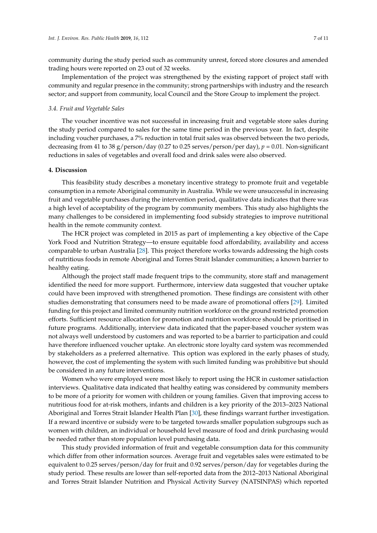community during the study period such as community unrest, forced store closures and amended trading hours were reported on 23 out of 32 weeks.

Implementation of the project was strengthened by the existing rapport of project staff with community and regular presence in the community; strong partnerships with industry and the research sector; and support from community, local Council and the Store Group to implement the project.

#### *3.4. Fruit and Vegetable Sales*

The voucher incentive was not successful in increasing fruit and vegetable store sales during the study period compared to sales for the same time period in the previous year. In fact, despite including voucher purchases, a 7% reduction in total fruit sales was observed between the two periods, decreasing from 41 to 38 g/person/day (0.27 to 0.25 serves/person/per day), *p* = 0.01. Non-significant reductions in sales of vegetables and overall food and drink sales were also observed.

# **4. Discussion**

This feasibility study describes a monetary incentive strategy to promote fruit and vegetable consumption in a remote Aboriginal community in Australia. While we were unsuccessful in increasing fruit and vegetable purchases during the intervention period, qualitative data indicates that there was a high level of acceptability of the program by community members. This study also highlights the many challenges to be considered in implementing food subsidy strategies to improve nutritional health in the remote community context.

The HCR project was completed in 2015 as part of implementing a key objective of the Cape York Food and Nutrition Strategy—to ensure equitable food affordability, availability and access comparable to urban Australia [\[28\]](#page-9-12). This project therefore works towards addressing the high costs of nutritious foods in remote Aboriginal and Torres Strait Islander communities; a known barrier to healthy eating.

Although the project staff made frequent trips to the community, store staff and management identified the need for more support. Furthermore, interview data suggested that voucher uptake could have been improved with strengthened promotion. These findings are consistent with other studies demonstrating that consumers need to be made aware of promotional offers [\[29\]](#page-9-13). Limited funding for this project and limited community nutrition workforce on the ground restricted promotion efforts. Sufficient resource allocation for promotion and nutrition workforce should be prioritised in future programs. Additionally, interview data indicated that the paper-based voucher system was not always well understood by customers and was reported to be a barrier to participation and could have therefore influenced voucher uptake. An electronic store loyalty card system was recommended by stakeholders as a preferred alternative. This option was explored in the early phases of study, however, the cost of implementing the system with such limited funding was prohibitive but should be considered in any future interventions.

Women who were employed were most likely to report using the HCR in customer satisfaction interviews. Qualitative data indicated that healthy eating was considered by community members to be more of a priority for women with children or young families. Given that improving access to nutritious food for at-risk mothers, infants and children is a key priority of the 2013–2023 National Aboriginal and Torres Strait Islander Health Plan [\[30\]](#page-9-14), these findings warrant further investigation. If a reward incentive or subsidy were to be targeted towards smaller population subgroups such as women with children, an individual or household level measure of food and drink purchasing would be needed rather than store population level purchasing data.

This study provided information of fruit and vegetable consumption data for this community which differ from other information sources. Average fruit and vegetables sales were estimated to be equivalent to 0.25 serves/person/day for fruit and 0.92 serves/person/day for vegetables during the study period. These results are lower than self-reported data from the 2012–2013 National Aboriginal and Torres Strait Islander Nutrition and Physical Activity Survey (NATSINPAS) which reported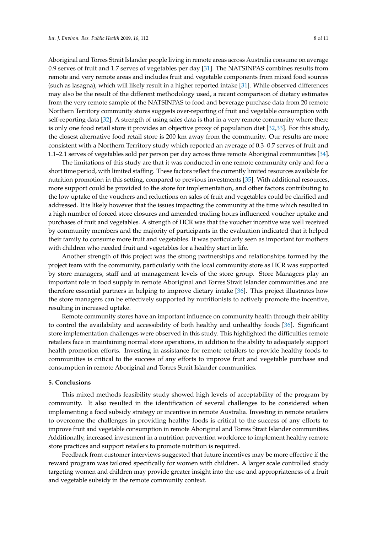Aboriginal and Torres Strait Islander people living in remote areas across Australia consume on average 0.9 serves of fruit and 1.7 serves of vegetables per day [\[31\]](#page-9-15). The NATSINPAS combines results from remote and very remote areas and includes fruit and vegetable components from mixed food sources (such as lasagna), which will likely result in a higher reported intake [\[31\]](#page-9-15). While observed differences may also be the result of the different methodology used, a recent comparison of dietary estimates from the very remote sample of the NATSINPAS to food and beverage purchase data from 20 remote Northern Territory community stores suggests over-reporting of fruit and vegetable consumption with self-reporting data [\[32\]](#page-9-16). A strength of using sales data is that in a very remote community where there is only one food retail store it provides an objective proxy of population diet [\[32](#page-9-16)[,33\]](#page-9-17). For this study, the closest alternative food retail store is 200 km away from the community. Our results are more consistent with a Northern Territory study which reported an average of 0.3–0.7 serves of fruit and 1.1–2.1 serves of vegetables sold per person per day across three remote Aboriginal communities [\[34\]](#page-10-0).

The limitations of this study are that it was conducted in one remote community only and for a short time period, with limited staffing. These factors reflect the currently limited resources available for nutrition promotion in this setting, compared to previous investments [\[35\]](#page-10-1). With additional resources, more support could be provided to the store for implementation, and other factors contributing to the low uptake of the vouchers and reductions on sales of fruit and vegetables could be clarified and addressed. It is likely however that the issues impacting the community at the time which resulted in a high number of forced store closures and amended trading hours influenced voucher uptake and purchases of fruit and vegetables. A strength of HCR was that the voucher incentive was well received by community members and the majority of participants in the evaluation indicated that it helped their family to consume more fruit and vegetables. It was particularly seen as important for mothers with children who needed fruit and vegetables for a healthy start in life.

Another strength of this project was the strong partnerships and relationships formed by the project team with the community, particularly with the local community store as HCR was supported by store managers, staff and at management levels of the store group. Store Managers play an important role in food supply in remote Aboriginal and Torres Strait Islander communities and are therefore essential partners in helping to improve dietary intake [\[36\]](#page-10-2). This project illustrates how the store managers can be effectively supported by nutritionists to actively promote the incentive, resulting in increased uptake.

Remote community stores have an important influence on community health through their ability to control the availability and accessibility of both healthy and unhealthy foods [\[36\]](#page-10-2). Significant store implementation challenges were observed in this study. This highlighted the difficulties remote retailers face in maintaining normal store operations, in addition to the ability to adequately support health promotion efforts. Investing in assistance for remote retailers to provide healthy foods to communities is critical to the success of any efforts to improve fruit and vegetable purchase and consumption in remote Aboriginal and Torres Strait Islander communities.

#### **5. Conclusions**

This mixed methods feasibility study showed high levels of acceptability of the program by community. It also resulted in the identification of several challenges to be considered when implementing a food subsidy strategy or incentive in remote Australia. Investing in remote retailers to overcome the challenges in providing healthy foods is critical to the success of any efforts to improve fruit and vegetable consumption in remote Aboriginal and Torres Strait Islander communities. Additionally, increased investment in a nutrition prevention workforce to implement healthy remote store practices and support retailers to promote nutrition is required.

Feedback from customer interviews suggested that future incentives may be more effective if the reward program was tailored specifically for women with children. A larger scale controlled study targeting women and children may provide greater insight into the use and appropriateness of a fruit and vegetable subsidy in the remote community context.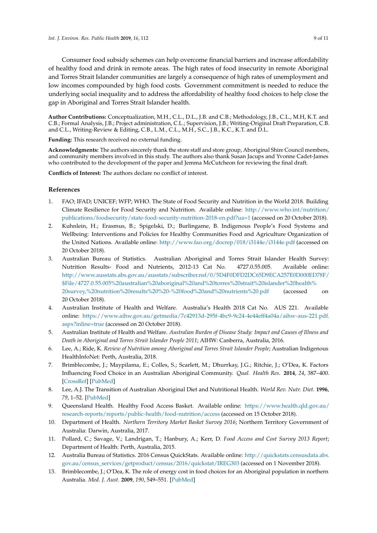Consumer food subsidy schemes can help overcome financial barriers and increase affordability of healthy food and drink in remote areas. The high rates of food insecurity in remote Aboriginal and Torres Strait Islander communities are largely a consequence of high rates of unemployment and low incomes compounded by high food costs. Government commitment is needed to reduce the underlying social inequality and to address the affordability of healthy food choices to help close the gap in Aboriginal and Torres Strait Islander health.

**Author Contributions:** Conceptualization, M.H., C.L., D.L., J.B. and C.B.; Methodology, J.B., C.L., M.H, K.T. and C.B.; Formal Analysis, J.B.; Project administration, C.L.; Supervision, J.B.; Writing-Original Draft Preparation, C.B. and C.L., Writing-Review & Editing, C.B., L.M., C.L., M.H., S.C., J.B., K.C., K.T. and D.L.

**Funding:** This research received no external funding.

**Acknowledgments:** The authors sincerely thank the store staff and store group, Aboriginal Shire Council members, and community members involved in this study. The authors also thank Susan Jacups and Yvonne Cadet-James who contributed to the development of the paper and Jemma McCutcheon for reviewing the final draft.

**Conflicts of Interest:** The authors declare no conflict of interest.

# **References**

- <span id="page-8-0"></span>1. FAO; IFAD; UNICEF; WFP; WHO. The State of Food Security and Nutrition in the World 2018. Building Climate Resilience for Food Security and Nutrition. Available online: [http://www.who.int/nutrition/](http://www.who.int/nutrition/publications/foodsecurity/state-food-security-nutrition-2018-en.pdf?ua=1) [publications/foodsecurity/state-food-security-nutrition-2018-en.pdf?ua=1](http://www.who.int/nutrition/publications/foodsecurity/state-food-security-nutrition-2018-en.pdf?ua=1) (accessed on 20 October 2018).
- <span id="page-8-1"></span>2. Kuhnlein, H.; Erasmus, B.; Spigelski, D.; Burlingame, B. Indigenous People's Food Systems and Wellbeing: Interventions and Policies for Healthy Communities Food and Agriculture Organization of the United Nations. Available online: <http://www.fao.org/docrep/018/i3144e/i3144e.pdf> (accessed on 20 October 2018).
- <span id="page-8-2"></span>3. Australian Bureau of Statistics. Australian Aboriginal and Torres Strait Islander Health Survey: Nutrition Results- Food and Nutrients, 2012-13 Cat No. 4727.0.55.005. Available online: [http://www.ausstats.abs.gov.au/ausstats/subscriber.nsf/0/5D4F0DFD2DC65D9ECA257E0D000ED78F/](http://www.ausstats.abs.gov.au/ausstats/subscriber.nsf/0/5D4F0DFD2DC65D9ECA257E0D000ED78F/$File/4727.0.55.005%20australian%20aboriginal%20and%20torres%20strait%20islander%20health%20survey,%20nutrition%20results%20%20-%20food%20and%20nutrients%20.pdf) [\\$File/4727.0.55.005%20australian%20aboriginal%20and%20torres%20strait%20islander%20health%](http://www.ausstats.abs.gov.au/ausstats/subscriber.nsf/0/5D4F0DFD2DC65D9ECA257E0D000ED78F/$File/4727.0.55.005%20australian%20aboriginal%20and%20torres%20strait%20islander%20health%20survey,%20nutrition%20results%20%20-%20food%20and%20nutrients%20.pdf) [20survey,%20nutrition%20results%20%20-%20food%20and%20nutrients%20.pdf](http://www.ausstats.abs.gov.au/ausstats/subscriber.nsf/0/5D4F0DFD2DC65D9ECA257E0D000ED78F/$File/4727.0.55.005%20australian%20aboriginal%20and%20torres%20strait%20islander%20health%20survey,%20nutrition%20results%20%20-%20food%20and%20nutrients%20.pdf) (accessed on 20 October 2018).
- <span id="page-8-3"></span>4. Australian Institute of Health and Welfare. Australia's Health 2018 Cat No. AUS 221. Available online: [https://www.aihw.gov.au/getmedia/7c42913d-295f-4bc9-9c24-4e44eff4a04a/aihw-aus-221.pdf.](https://www.aihw.gov.au/getmedia/7c42913d-295f-4bc9-9c24-4e44eff4a04a/aihw-aus-221.pdf.aspx?inline=true) [aspx?inline=true](https://www.aihw.gov.au/getmedia/7c42913d-295f-4bc9-9c24-4e44eff4a04a/aihw-aus-221.pdf.aspx?inline=true) (accessed on 20 October 2018).
- <span id="page-8-4"></span>5. Australian Institute of Health and Welfare. *Australian Burden of Disease Study: Impact and Causes of Illness and Death in Aboriginal and Torres Strait Islander People 2011*; AIHW: Canberra, Australia, 2016.
- <span id="page-8-5"></span>6. Lee, A.; Ride, K. *Review of Nutrition among Aboriginal and Torres Strait Islander People*; Australian Indigenous HealthInfoNet: Perth, Australia, 2018.
- 7. Brimblecombe, J.; Maypilama, E.; Colles, S.; Scarlett, M.; Dhurrkay, J.G.; Ritchie, J.; O'Dea, K. Factors Influencing Food Choice in an Australian Aboriginal Community. *Qual. Health Res.* **2014**, *24*, 387–400. [\[CrossRef\]](http://dx.doi.org/10.1177/1049732314521901) [\[PubMed\]](http://www.ncbi.nlm.nih.gov/pubmed/24549409)
- <span id="page-8-6"></span>8. Lee, A.J. The Transition of Australian Aboriginal Diet and Nutritional Health. *World Rev. Nutr. Diet.* **1996**, *79*, 1–52. [\[PubMed\]](http://www.ncbi.nlm.nih.gov/pubmed/9111809)
- <span id="page-8-7"></span>9. Queensland Health. Healthy Food Access Basket. Available online: [https://www.health.qld.gov.au/](https://www.health.qld.gov.au/research-reports/reports/public-health/food-nutrition/access) [research-reports/reports/public-health/food-nutrition/access](https://www.health.qld.gov.au/research-reports/reports/public-health/food-nutrition/access) (accessed on 15 October 2018).
- 10. Department of Health. *Northern Territory Market Basket Survey 2016*; Northern Territory Government of Australia: Darwin, Australia, 2017.
- <span id="page-8-8"></span>11. Pollard, C.; Savage, V.; Landrigan, T.; Hanbury, A.; Kerr, D. *Food Access and Cost Survey 2013 Report*; Department of Health: Perth, Australia, 2015.
- <span id="page-8-9"></span>12. Australia Bureau of Statistics. 2016 Census QuickStats. Available online: [http://quickstats.censusdata.abs.](http://quickstats.censusdata.abs.gov.au/census_services/getproduct/census/2016/quickstat/IREG303) [gov.au/census\\_services/getproduct/census/2016/quickstat/IREG303](http://quickstats.censusdata.abs.gov.au/census_services/getproduct/census/2016/quickstat/IREG303) (accessed on 1 November 2018).
- <span id="page-8-10"></span>13. Brimblecombe, J.; O'Dea, K. The role of energy cost in food choices for an Aboriginal population in northern Australia. *Med. J. Aust.* **2009**, *190*, 549–551. [\[PubMed\]](http://www.ncbi.nlm.nih.gov/pubmed/19450199)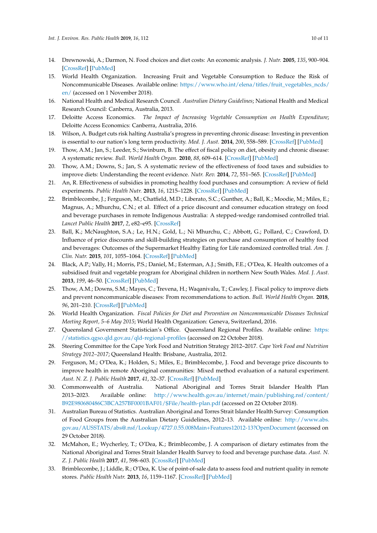- <span id="page-9-0"></span>14. Drewnowski, A.; Darmon, N. Food choices and diet costs: An economic analysis. *J. Nutr.* **2005**, *135*, 900–904. [\[CrossRef\]](http://dx.doi.org/10.1093/jn/135.4.900) [\[PubMed\]](http://www.ncbi.nlm.nih.gov/pubmed/15795456)
- <span id="page-9-1"></span>15. World Health Organization. Increasing Fruit and Vegetable Consumption to Reduce the Risk of Noncommunicable Diseases. Available online: [https://www.who.int/elena/titles/fruit\\_vegetables\\_ncds/](https://www.who.int/elena/titles/fruit_vegetables_ncds/en/) [en/](https://www.who.int/elena/titles/fruit_vegetables_ncds/en/) (accessed on 1 November 2018).
- <span id="page-9-2"></span>16. National Health and Medical Research Council. *Australian Dietary Guidelines*; National Health and Medical Research Council: Canberra, Australia, 2013.
- <span id="page-9-3"></span>17. Deloitte Access Economics. *The Impact of Increasing Vegetable Consumption on Health Expenditure*; Deloitte Access Economics: Canberra, Australia, 2016.
- <span id="page-9-4"></span>18. Wilson, A. Budget cuts risk halting Australia's progress in preventing chronic disease: Investing in prevention is essential to our nation's long term productivity. *Med. J. Aust.* **2014**, *200*, 558–589. [\[CrossRef\]](http://dx.doi.org/10.5694/mja14.00726) [\[PubMed\]](http://www.ncbi.nlm.nih.gov/pubmed/24882471)
- <span id="page-9-5"></span>19. Thow, A.M.; Jan, S.; Leeder, S.; Swinburn, B. The effect of fiscal policy on diet, obesity and chronic disease: A systematic review. *Bull. World Health Organ.* **2010**, *88*, 609–614. [\[CrossRef\]](http://dx.doi.org/10.2471/BLT.09.070987) [\[PubMed\]](http://www.ncbi.nlm.nih.gov/pubmed/20680126)
- 20. Thow, A.M.; Downs, S.; Jan, S. A systematic review of the effectiveness of food taxes and subsidies to improve diets: Understanding the recent evidence. *Nutr. Rev.* **2014**, *72*, 551–565. [\[CrossRef\]](http://dx.doi.org/10.1111/nure.12123) [\[PubMed\]](http://www.ncbi.nlm.nih.gov/pubmed/25091552)
- 21. An, R. Effectiveness of subsidies in promoting healthy food purchases and consumption: A review of field experiments. *Public Health Nutr.* **2013**, *16*, 1215–1228. [\[CrossRef\]](http://dx.doi.org/10.1017/S1368980012004715) [\[PubMed\]](http://www.ncbi.nlm.nih.gov/pubmed/23122423)
- <span id="page-9-9"></span>22. Brimblecombe, J.; Ferguson, M.; Chatfield, M.D.; Liberato, S.C.; Gunther, A.; Ball, K.; Moodie, M.; Miles, E.; Magnus, A.; Mhurchu, C.N.; et al. Effect of a price discount and consumer education strategy on food and beverage purchases in remote Indigenous Australia: A stepped-wedge randomised controlled trial. *Lancet Public Health* **2017**, *2*, e82–e95. [\[CrossRef\]](http://dx.doi.org/10.1016/S2468-2667(16)30043-3)
- <span id="page-9-10"></span>23. Ball, K.; McNaughton, S.A.; Le, H.N.; Gold, L.; Ni Mhurchu, C.; Abbott, G.; Pollard, C.; Crawford, D. Influence of price discounts and skill-building strategies on purchase and consumption of healthy food and beverages: Outcomes of the Supermarket Healthy Eating for Life randomized controlled trial. *Am. J. Clin. Nutr.* **2015**, *101*, 1055–1064. [\[CrossRef\]](http://dx.doi.org/10.3945/ajcn.114.096735) [\[PubMed\]](http://www.ncbi.nlm.nih.gov/pubmed/25877492)
- <span id="page-9-6"></span>24. Black, A.P.; Vally, H.; Morris, P.S.; Daniel, M.; Esterman, A.J.; Smith, F.E.; O'Dea, K. Health outcomes of a subsidised fruit and vegetable program for Aboriginal children in northern New South Wales. *Med. J. Aust.* **2013**, *199*, 46–50. [\[CrossRef\]](http://dx.doi.org/10.5694/mja13.10445) [\[PubMed\]](http://www.ncbi.nlm.nih.gov/pubmed/23829264)
- <span id="page-9-7"></span>25. Thow, A.M.; Downs, S.M.; Mayes, C.; Trevena, H.; Waqanivalu, T.; Cawley, J. Fiscal policy to improve diets and prevent noncommunicable diseases: From recommendations to action. *Bull. World Health Organ.* **2018**, *96*, 201–210. [\[CrossRef\]](http://dx.doi.org/10.2471/BLT.17.195982) [\[PubMed\]](http://www.ncbi.nlm.nih.gov/pubmed/29531419)
- <span id="page-9-8"></span>26. World Health Organization. *Fiscal Policies for Diet and Prevention on Noncommunicable Diseases Technical Meeting Report, 5–6 May 2015*; World Health Organization: Geneva, Switzerland, 2016.
- <span id="page-9-11"></span>27. Queensland Government Statistician's Office. Queensland Regional Profiles. Available online: [https:](https://statistics.qgso.qld.gov.au/qld-regional-profiles) [//statistics.qgso.qld.gov.au/qld-regional-profiles](https://statistics.qgso.qld.gov.au/qld-regional-profiles) (accessed on 22 October 2018).
- <span id="page-9-12"></span>28. Steering Committee for the Cape York Food and Nutrition Strategy 2012–2017. *Cape York Food and Nutrition Strategy 2012–2017*; Queensland Health: Brisbane, Australia, 2012.
- <span id="page-9-13"></span>29. Ferguson, M.; O'Dea, K.; Holden, S.; Miles, E.; Brimblecombe, J. Food and beverage price discounts to improve health in remote Aboriginal communities: Mixed method evaluation of a natural experiment. *Aust. N. Z. J. Public Health* **2017**, *41*, 32–37. [\[CrossRef\]](http://dx.doi.org/10.1111/1753-6405.12616) [\[PubMed\]](http://www.ncbi.nlm.nih.gov/pubmed/27868342)
- <span id="page-9-14"></span>30. Commonwealth of Australia. National Aboriginal and Torres Strait Islander Health Plan 2013–2023. Available online: [http://www.health.gov.au/internet/main/publishing.nsf/content/](http://www.health.gov.au/internet/main/publishing.nsf/content/B92E980680486C3BCA257BF0001BAF01/$File/health-plan.pdf) [B92E980680486C3BCA257BF0001BAF01/\\$File/health-plan.pdf](http://www.health.gov.au/internet/main/publishing.nsf/content/B92E980680486C3BCA257BF0001BAF01/$File/health-plan.pdf) (accessed on 22 October 2018).
- <span id="page-9-15"></span>31. Australian Bureau of Statistics. Australian Aboriginal and Torres Strait Islander Health Survey: Consumption of Food Groups from the Australian Dietary Guidelines, 2012–13. Available online: [http://www.abs.](http://www.abs.gov.au/AUSSTATS/abs@.nsf/Lookup/4727.0.55.008Main+Features12012-13?OpenDocument) [gov.au/AUSSTATS/abs@.nsf/Lookup/4727.0.55.008Main+Features12012-13?OpenDocument](http://www.abs.gov.au/AUSSTATS/abs@.nsf/Lookup/4727.0.55.008Main+Features12012-13?OpenDocument) (accessed on 29 October 2018).
- <span id="page-9-16"></span>32. McMahon, E.; Wycherley, T.; O'Dea, K.; Brimblecombe, J. A comparison of dietary estimates from the National Aboriginal and Torres Strait Islander Health Survey to food and beverage purchase data. *Aust. N. Z. J. Public Health* **2017**, *41*, 598–603. [\[CrossRef\]](http://dx.doi.org/10.1111/1753-6405.12718) [\[PubMed\]](http://www.ncbi.nlm.nih.gov/pubmed/29044897)
- <span id="page-9-17"></span>33. Brimblecombe, J.; Liddle, R.; O'Dea, K. Use of point-of-sale data to assess food and nutrient quality in remote stores. *Public Health Nutr.* **2013**, *16*, 1159–1167. [\[CrossRef\]](http://dx.doi.org/10.1017/S1368980012004284) [\[PubMed\]](http://www.ncbi.nlm.nih.gov/pubmed/23009766)